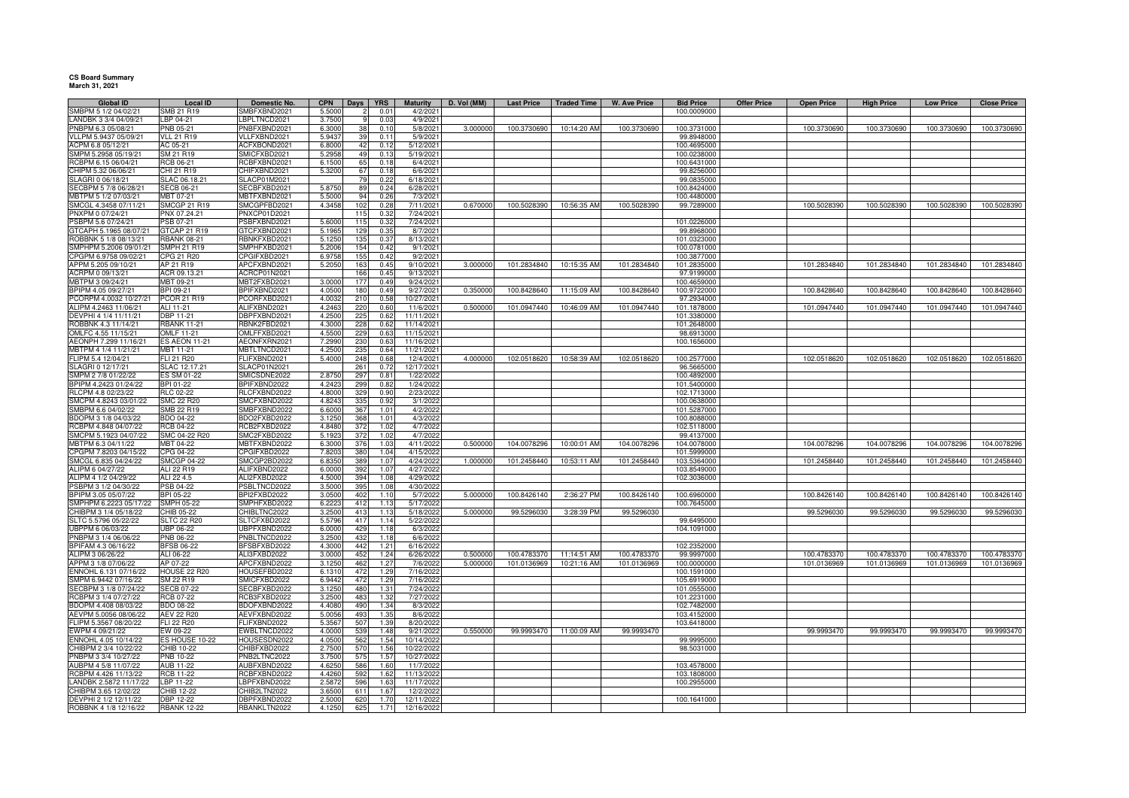**CS Board Summary March 31, 2021**

| <b>Global ID</b>                              | <b>Local ID</b>         | Domestic No.                 | <b>CPN</b>       | <b>Days</b>          | <b>YRS</b>    | <b>Maturity</b>     | D. Vol (MM) | <b>Last Price</b> | <b>Traded Time</b> | <b>W. Ave Price</b> | <b>Bid Price</b>           | <b>Offer Price</b> | <b>Open Price</b> | <b>High Price</b> | <b>Low Price</b> | <b>Close Price</b> |
|-----------------------------------------------|-------------------------|------------------------------|------------------|----------------------|---------------|---------------------|-------------|-------------------|--------------------|---------------------|----------------------------|--------------------|-------------------|-------------------|------------------|--------------------|
| SMBPM 5 1/2 04/02/21                          | SMB 21 R19              | SMBFXBND2021                 | 5.5000           |                      | $0.0^{\circ}$ | 4/2/202             |             |                   |                    |                     | 100.0009000                |                    |                   |                   |                  |                    |
| LANDBK 3 3/4 04/09/21                         | LBP 04-21               | BPLTNCD2021                  | 3.7500           |                      | 0.03          | 4/9/202             |             |                   |                    |                     |                            |                    |                   |                   |                  |                    |
| PNBPM 6.3 05/08/21                            | PNB 05-21               | NBFXBND2021                  | 6.3000           | 38                   | 0.10          | 5/8/2021            | 3.000000    | 100.3730690       | 10:14:20 AM        | 100.3730690         | 100.3731000                |                    | 100.3730690       | 100.3730690       | 100.3730690      | 100.3730690        |
| VLLPM 5.9437 05/09/21                         | <b>VLL 21 R19</b>       | VLLFXBND2021                 | 5.9437           | 39                   | 0.11          | 5/9/2021            |             |                   |                    |                     | 99.8948000                 |                    |                   |                   |                  |                    |
| ACPM 6.8 05/12/21                             | AC 05-21                | ACFXBOND2021                 | 6.8000           | 42                   | 0.12          | 5/12/202            |             |                   |                    |                     | 100.4695000                |                    |                   |                   |                  |                    |
| SMPM 5.2958 05/19/21                          | SM 21 R19               | SMICFXBD2021                 | 5.2958           | 49                   | 0.13          | 5/19/202            |             |                   |                    |                     | 100.0238000                |                    |                   |                   |                  |                    |
| RCBPM 6.15 06/04/21                           | RCB 06-21               | CBFXBND2021                  | 6.1500           | 65                   | 0.18          | 6/4/202             |             |                   |                    |                     | 100.6431000                |                    |                   |                   |                  |                    |
| CHIPM 5.32 06/06/21                           | CHI 21 R19              | HIFXBND2021                  | 5.3200           | 67<br>7 <sup>c</sup> | 0.18          | 6/6/202             |             |                   |                    |                     | 99.8256000                 |                    |                   |                   |                  |                    |
| SLAGRI 0 06/18/21                             | SLAC 06.18.21           | SLACP01M2021<br>SECBFXBD2021 |                  | 89                   | 0.22<br>0.24  | 6/18/202            |             |                   |                    |                     | 99.0835000<br>100.8424000  |                    |                   |                   |                  |                    |
| SECBPM 5 7/8 06/28/21<br>MBTPM 5 1/2 07/03/21 | SECB 06-21<br>MBT 07-21 | MBTFXBND2021                 | 5.8750<br>5.5000 | 94                   | 0.26          | 6/28/202<br>7/3/202 |             |                   |                    |                     | 100.4480000                |                    |                   |                   |                  |                    |
| SMCGL 4.3458 07/11/21                         | <b>SMCGP 21 R19</b>     | SMCGPFBD2021                 | 4.3458           | 102                  | 0.28          | 7/11/202            | 0.670000    | 100.5028390       | 10:56:35 AM        | 100.5028390         | 99.7289000                 |                    | 100.5028390       | 100.5028390       | 100.5028390      | 100.5028390        |
| PNXPM 0 07/24/21                              | PNX 07.24.21            | PNXCP01D2021                 |                  | 115                  | 0.32          | 7/24/2021           |             |                   |                    |                     |                            |                    |                   |                   |                  |                    |
| PSBPM 5.6 07/24/21                            | PSB 07-21               | PSBFXBND2021                 | 5.6000           | 115                  | 0.32          | 7/24/202            |             |                   |                    |                     | 101.0226000                |                    |                   |                   |                  |                    |
| GTCAPH 5.1965 08/07/21                        | GTCAP 21 R19            | GTCFXBND2021                 | 5.196            | 129                  | 0.35          | 8/7/202             |             |                   |                    |                     | 99.8968000                 |                    |                   |                   |                  |                    |
| ROBBNK 5 1/8 08/13/21                         | <b>RBANK 08-21</b>      | RBNKFXBD2021                 | 5.1250           | 135                  | 0.37          | 8/13/202            |             |                   |                    |                     | 101.0323000                |                    |                   |                   |                  |                    |
| SMPHPM 5.2006 09/01/21                        | <b>SMPH 21 R19</b>      | SMPHFXBD2021                 | 5.200            | 154                  | 0.42          | 9/1/202             |             |                   |                    |                     | 100.0781000                |                    |                   |                   |                  |                    |
| CPGPM 6.9758 09/02/21                         | CPG 21 R20              | CPGIFXBD2021                 | 6.975            | 155                  | 0.42          | 9/2/202             |             |                   |                    |                     | 100.3877000                |                    |                   |                   |                  |                    |
| APPM 5.205 09/10/21                           | AP 21 R19               | APCFXBND2021                 | 5.2050           | 163                  | 0.45          | 9/10/2021           | 3.000000    | 101.2834840       | 10:15:35 AM        | 101.2834840         | 101.2835000                |                    | 101.2834840       | 101.2834840       | 101.2834840      | 101.2834840        |
| ACRPM 0 09/13/21                              | ACR 09.13.21            | ACRCP01N2021                 |                  | 166                  | 0.45          | 9/13/202            |             |                   |                    |                     | 97.9199000                 |                    |                   |                   |                  |                    |
| MBTPM 3 09/24/21                              | MBT 09-21               | MBT2FXBD2021                 | 3.0000           | 177                  | 0.49          | 9/24/202            |             |                   |                    |                     | 100.4659000                |                    |                   |                   |                  |                    |
| BPIPM 4.05 09/27/21                           | BPI 09-21               | BPIFXBND2021                 | 4.0500           | 180                  | 0.49          | 9/27/202            | 0.350000    | 100.8428640       | 11:15:09 AM        | 100.8428640         | 100.9722000                |                    | 100.8428640       | 100.8428640       | 100.8428640      | 100.8428640        |
| PCORPM 4.0032 10/27/21                        | PCOR 21 R19             | PCORFXBD2021                 | 4.0032           | 210                  | 0.58          | 10/27/202           |             |                   |                    |                     | 97.2934000                 |                    |                   |                   |                  |                    |
| ALIPM 4.2463 11/06/21                         | ALI 11-21               | ALIFXBND2021                 | 4.2463           | 220                  | 0.60          | 11/6/202            | 0.500000    | 101.0947440       | 10:46:09 AM        | 101.0947440         | 101.1878000                |                    | 101.0947440       | 101.0947440       | 101.0947440      | 101.0947440        |
| DEVPHI 4 1/4 11/11/21                         | <b>DBP 11-21</b>        | DBPFXBND2021                 | 4.2500           | 225                  | 0.62          | 11/11/202           |             |                   |                    |                     | 101.3380000                |                    |                   |                   |                  |                    |
| ROBBNK 4.3 11/14/21                           | <b>RBANK 11-21</b>      | RBNK2FBD2021                 | 4.3000           | 228                  | 0.62          | 11/14/2021          |             |                   |                    |                     | 101.2648000                |                    |                   |                   |                  |                    |
| OMLFC 4.55 11/15/21                           | <b>OMLF 11-21</b>       | OMLFFXBD2021                 | 4.5500           | 229                  | 0.63          | 11/15/202           |             |                   |                    |                     | 98.6913000                 |                    |                   |                   |                  |                    |
| AEONPH 7.299 11/16/21                         | <b>ES AEON 11-21</b>    | AEONFXRN2021                 | 7.2990           | 230                  | 0.63          | 11/16/202           |             |                   |                    |                     | 100.1656000                |                    |                   |                   |                  |                    |
| MBTPM 4 1/4 11/21/21                          | MBT 11-21               | MBTLTNCD2021                 | 4.2500           | 235                  | 0.64          | 11/21/202           |             |                   |                    |                     |                            |                    |                   |                   |                  |                    |
| FLIPM 5.4 12/04/21                            | FLI 21 R20              | FLIFXBND2021                 | 5.4000           | 248                  | 0.68          | 12/4/202            | 4.000000    | 102.0518620       | 10:58:39 AM        | 102.0518620         | 100.2577000                |                    | 102.0518620       | 102.0518620       | 102.0518620      | 102.0518620        |
| SLAGRI 0 12/17/21                             | SLAC 12.17.21           | SLACP01N2021                 |                  | 261                  | 0.72          | 12/17/202           |             |                   |                    |                     | 96.5665000                 |                    |                   |                   |                  |                    |
| SMPM 2 7/8 01/22/22                           | ES SM 01-22             | SMICSDNE2022                 | 2.8750           | 297                  | 0.81          | 1/22/202            |             |                   |                    |                     | 100.4892000                |                    |                   |                   |                  |                    |
| BPIPM 4.2423 01/24/22                         | BPI 01-22               | BPIFXBND2022                 | 4.242            | 299                  | 0.82          | 1/24/2022           |             |                   |                    |                     | 101.5400000                |                    |                   |                   |                  |                    |
| RLCPM 4.8 02/23/22                            | <b>RLC 02-22</b>        | RLCFXBND2022                 | 4.8000           | 329                  | 0.90          | 2/23/202            |             |                   |                    |                     | 102.1713000                |                    |                   |                   |                  |                    |
| SMCPM 4.8243 03/01/22                         | <b>SMC 22 R20</b>       | SMCFXBND2022                 | 4.824            | 335                  | 0.92          | 3/1/202             |             |                   |                    |                     | 100.0638000                |                    |                   |                   |                  |                    |
| SMBPM 6.6 04/02/22                            | SMB 22 R19              | SMBFXBND2022                 | 6.6000           | 367                  | 1.01          | 4/2/202             |             |                   |                    |                     | 101.5287000                |                    |                   |                   |                  |                    |
| BDOPM 3 1/8 04/03/22                          | <b>BDO 04-22</b>        | BDO2FXBD2022                 | 3.1250           | 368                  | 1.01          | 4/3/202             |             |                   |                    |                     | 100.8088000                |                    |                   |                   |                  |                    |
| RCBPM 4.848 04/07/22                          | <b>RCB 04-22</b>        | RCB2FXBD2022                 | 4.8480           | 372                  | 1.02          | 4/7/202             |             |                   |                    |                     | 102.5118000                |                    |                   |                   |                  |                    |
| SMCPM 5.1923 04/07/22                         | SMC 04-22 R20           | SMC2FXBD2022                 | 5.1923           | 372                  | 1.02          | 4/7/202             |             |                   |                    |                     | 99.4137000                 |                    |                   |                   |                  |                    |
| MBTPM 6.3 04/11/22                            | MBT 04-22               | MBTFXBND2022                 | 6.3000           | 376                  | 1.03          | 4/11/2022           | 0.500000    | 104.0078296       | 10:00:01 AM        | 104.0078296         | 104.0078000                |                    | 104.0078296       | 104.0078296       | 104.0078296      | 104.0078296        |
| CPGPM 7.8203 04/15/22                         | CPG 04-22               | CPGIFXBD2022                 | 7.820            | 380                  | 1.04          | 4/15/2022           |             |                   |                    |                     | 101.5999000                |                    |                   |                   |                  |                    |
| SMCGL 6.835 04/24/22                          | <b>SMCGP 04-22</b>      | SMCGP2BD2022                 | 6.835            | 389                  | 1.07          | 4/24/2022           | 1.000000    | 101.2458440       | 10:53:11 AM        | 101.2458440         | 103.5364000                |                    | 101.2458440       | 101.2458440       | 101.2458440      | 101.2458440        |
| ALIPM 6 04/27/22                              | ALI 22 R19              | ALIFXBND2022                 | 6.000            | 392                  | 1.07          | 4/27/2022           |             |                   |                    |                     | 103.8549000                |                    |                   |                   |                  |                    |
| ALIPM 4 1/2 04/29/22                          | ALI 22 4.5              | ALI2FXBD2022                 | 4.500            | 394                  | 1.08          | 4/29/202            |             |                   |                    |                     | 102.3036000                |                    |                   |                   |                  |                    |
| PSBPM 3 1/2 04/30/22<br>3PIPM 3.05 05/07/22   | PSB 04-22<br>BPI 05-22  | PSBLTNCD2022<br>BPI2FXBD2022 | 3.500<br>3.0500  | 395<br>402           | 1.08<br>1.10  | 4/30/202<br>5/7/202 | 5.00000     | 100.8426140       | 2:36:27 PM         | 100.8426140         |                            |                    | 100.8426140       | 100.8426140       |                  | 100.8426140        |
| SMPHPM 6.2223 05/17/22                        | <b>SMPH 05-22</b>       | SMPHFXBD2022                 | 6.2223           | 412                  | 1.13          | 5/17/2022           |             |                   |                    |                     | 100.6960000<br>100.7645000 |                    |                   |                   | 100.8426140      |                    |
| CHIBPM 3 1/4 05/18/22                         | CHIB 05-22              | CHIBLTNC2022                 | 3.2500           | 413                  | 1.13          | 5/18/2022           | 5.000000    | 99.5296030        | 3:28:39 PM         | 99.5296030          |                            |                    | 99.5296030        | 99.5296030        | 99.5296030       | 99.5296030         |
| SLTC 5.5796 05/22/22                          | <b>SLTC 22 R20</b>      | LTCFXBD2022                  | 5.579            | 417                  | 1.14          | 5/22/202            |             |                   |                    |                     | 99.6495000                 |                    |                   |                   |                  |                    |
| UBPPM 6 06/03/22                              | UBP 06-22               | UBPFXBND2022                 | 6.0000           | 429                  | 1.18          | 6/3/202             |             |                   |                    |                     | 104.1091000                |                    |                   |                   |                  |                    |
| PNBPM 3 1/4 06/06/22                          | PNB 06-22               | PNBLTNCD2022                 | 3.2500           | 432                  | 1.18          | 6/6/2022            |             |                   |                    |                     |                            |                    |                   |                   |                  |                    |
| BPIFAM 4.3 06/16/22                           | <b>BFSB 06-22</b>       | BFSBFXBD2022                 | 4.3000           | 442                  | 1.21          | 6/16/202            |             |                   |                    |                     | 102.2352000                |                    |                   |                   |                  |                    |
| ALIPM 3 06/26/22                              | ALI 06-22               | ALI3FXBD2022                 | 3.0000           | 452                  | 1.24          | 6/26/202            | 0.500000    | 100.4783370       | 11:14:51 AM        | 100.4783370         | 99.9997000                 |                    | 100.4783370       | 100.4783370       | 100.4783370      | 100.4783370        |
| APPM 3 1/8 07/06/22                           | AP 07-22                | APCFXBND2022                 | 3.1250           | 462                  | 1.27          | 7/6/2022            | 5.000000    | 101.0136969       | 10:21:16 AM        | 101.0136969         | 100.0000000                |                    | 101.0136969       | 101.0136969       | 101.0136969      | 101.0136969        |
| ENNOHL 6.131 07/16/22                         | <b>HOUSE 22 R20</b>     | HOUSEFBD2022                 | 6.1310           | 472                  | 1.29          | 7/16/2022           |             |                   |                    |                     | 100.1591000                |                    |                   |                   |                  |                    |
| SMPM 6.9442 07/16/22                          | SM 22 R19               | SMICFXBD2022                 | 6.9442           | 472                  | 1.29          | 7/16/202            |             |                   |                    |                     | 105.6919000                |                    |                   |                   |                  |                    |
| SECBPM 3 1/8 07/24/22                         | <b>SECB 07-22</b>       | SECBFXBD2022                 | 3.125            | 480                  | 1.31          | 7/24/2022           |             |                   |                    |                     | 101.0555000                |                    |                   |                   |                  |                    |
| RCBPM 3 1/4 07/27/22                          | <b>RCB 07-22</b>        | ICB3FXBD2022                 | 3.250            | 483                  | 1.32          | 7/27/2022           |             |                   |                    |                     | 101.2231000                |                    |                   |                   |                  |                    |
| BDOPM 4.408 08/03/22                          | BDO 08-22               | BDOFXBND2022                 | 4.4080           | 490                  | 1.34          | 8/3/202             |             |                   |                    |                     | 102.7482000                |                    |                   |                   |                  |                    |
| AEVPM 5.0056 08/06/22                         | <b>AEV 22 R20</b>       | AEVFXBND2022                 | 5.005            | 493                  | 1.35          | 8/6/202             |             |                   |                    |                     | 103.4152000                |                    |                   |                   |                  |                    |
| FLIPM 5.3567 08/20/22                         | FLI 22 R20              | FLIFXBND2022                 | 5.3567           | 507                  | 1.39          | 8/20/2022           |             |                   |                    |                     | 103.6418000                |                    |                   |                   |                  |                    |
| EWPM 4 09/21/22                               | EW 09-22                | EWBLTNCD2022                 | 4.0000           | 539                  | 1.48          | 9/21/202            | 0.550000    | 99.9993470        | 11:00:09 AM        | 99.9993470          |                            |                    | 99.9993470        | 99.9993470        | 99.9993470       | 99.9993470         |
| ENNOHL 4.05 10/14/22                          | S HOUSE 10-22           | <b>IOUSESDN2022</b>          | 4.0500           | 562                  | 1.54          | 10/14/202           |             |                   |                    |                     | 99.9995000                 |                    |                   |                   |                  |                    |
| CHIBPM 2 3/4 10/22/22                         | CHIB 10-22              | HIBFXBD2022                  | 2.7500           | 570                  | 1.56          | 10/22/202           |             |                   |                    |                     | 98.5031000                 |                    |                   |                   |                  |                    |
| PNBPM 3 3/4 10/27/22                          | PNB 10-22               | NB2LTNC2022                  | 3.7500           | 575                  | 1.57          | 10/27/202           |             |                   |                    |                     |                            |                    |                   |                   |                  |                    |
| AUBPM 4 5/8 11/07/22                          | <b>AUB 11-22</b>        | AUBFXBND2022                 | 4.6250           | 586                  | 1.60          | 11/7/2022           |             |                   |                    |                     | 103.4578000                |                    |                   |                   |                  |                    |
| RCBPM 4.426 11/13/22                          | <b>RCB 11-22</b>        | <b>CBFXBND2022</b>           | 4.4260           | 592                  | 1.62          | 11/13/202           |             |                   |                    |                     | 103.1808000                |                    |                   |                   |                  |                    |
| LANDBK 2.5872 11/17/22                        | LBP 11-22               | LBPFXBND2022                 | 2.5872           | 596                  | 1.63          | 11/17/2022          |             |                   |                    |                     | 100.2955000                |                    |                   |                   |                  |                    |
| CHIBPM 3.65 12/02/22                          | CHIB 12-22              | CHIB2LTN2022                 | 3.6500           | 611                  | 1.67          | 12/2/202            |             |                   |                    |                     |                            |                    |                   |                   |                  |                    |
| DEVPHI 2 1/2 12/11/22                         | DBP 12-22               | DBPFXBND2022                 | 2.5000           | 620                  | 1.70          | 12/11/202           |             |                   |                    |                     | 100.1641000                |                    |                   |                   |                  |                    |
| ROBBNK 4 1/8 12/16/22                         | <b>RBANK 12-22</b>      | RBANKLTN2022                 | 4.1250           | 625                  | 1.71          | 12/16/202           |             |                   |                    |                     |                            |                    |                   |                   |                  |                    |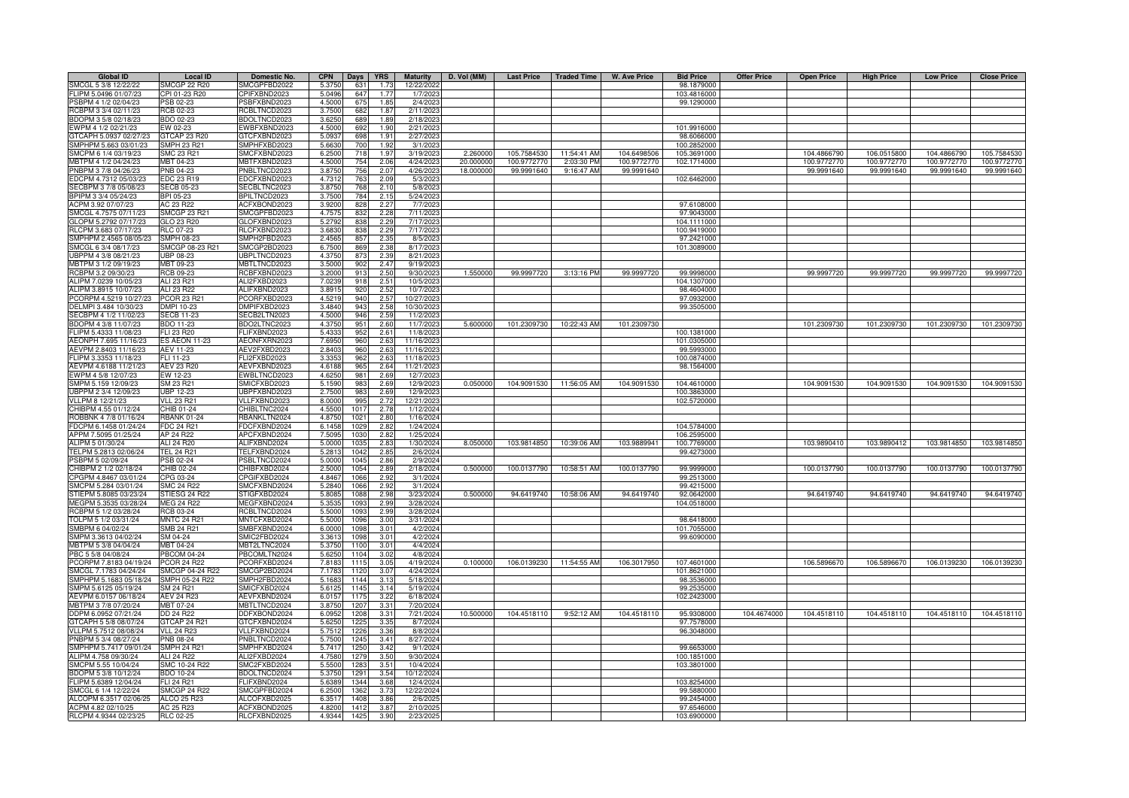| <b>Global ID</b>       | <b>Local ID</b>     | Domestic No.        | <b>CPN</b><br>Days <b>YRS</b>      | <b>Maturity</b> | D. Vol (MM) |             | Last Price   Traded Time | W. Ave Price | <b>Bid Price</b> | <b>Offer Price</b> | <b>Open Price</b> | <b>High Price</b> | <b>Low Price</b> | <b>Close Price</b> |
|------------------------|---------------------|---------------------|------------------------------------|-----------------|-------------|-------------|--------------------------|--------------|------------------|--------------------|-------------------|-------------------|------------------|--------------------|
| SMCGL 5 3/8 12/22/22   | <b>SMCGP 22 R20</b> | SMCGPFBD2022        | 5.3750<br>631<br>1.73              | 12/22/2022      |             |             |                          |              | 98.1879000       |                    |                   |                   |                  |                    |
| FLIPM 5.0496 01/07/23  | CPI 01-23 R20       | CPIFXBND2023        | 5.0496<br>647<br>1.77              | 1/7/2023        |             |             |                          |              | 103.4816000      |                    |                   |                   |                  |                    |
| PSBPM 4 1/2 02/04/23   | SB 02-23            | SBFXBND2023         | 4.5000<br>675<br>1.85              | 2/4/202         |             |             |                          |              | 99.1290000       |                    |                   |                   |                  |                    |
| RCBPM 3 3/4 02/11/23   | <b>RCB 02-23</b>    | <b>ICBLTNCD2023</b> | 3.7500<br>682<br>1.87              | 2/11/2023       |             |             |                          |              |                  |                    |                   |                   |                  |                    |
| BDOPM 3 5/8 02/18/23   | BDO 02-23           | BDOLTNCD2023        | 3.6250<br>689<br>1.89              | 2/18/2023       |             |             |                          |              |                  |                    |                   |                   |                  |                    |
| EWPM 4 1/2 02/21/23    | EW 02-23            | EWBFXBND2023        | 4.5000<br>692<br>1.90              | 2/21/2023       |             |             |                          |              | 101.9916000      |                    |                   |                   |                  |                    |
| GTCAPH 5.0937 02/27/23 | <b>STCAP 23 R20</b> | GTCFXBND2023        | 5.0937<br>698<br>1.91              | 2/27/202        |             |             |                          |              | 98.6066000       |                    |                   |                   |                  |                    |
| SMPHPM 5.663 03/01/23  | <b>SMPH 23 R21</b>  | SMPHFXBD2023        | 5.6630<br>700<br>1.92              | 3/1/2023        |             |             |                          |              | 100.2852000      |                    |                   |                   |                  |                    |
| SMCPM 6 1/4 03/19/23   | SMC 23 R21          | SMCFXBND2023        | 6.2500<br>718<br>1.9               | 3/19/202        | 2.260000    | 105.7584530 | 11:54:41 AM              | 104.6498506  | 105.3691000      |                    | 104.4866790       | 106.0515800       | 104.4866790      | 105.7584530        |
| MBTPM 4 1/2 04/24/23   | <b>MBT 04-23</b>    | <b>MBTFXBND2023</b> | 4.5000<br>754<br>2.06              | 4/24/202        | 20,000000   | 100.9772770 | 2:03:30 PM               | 100.9772770  | 102.1714000      |                    | 100.9772770       | 100.9772770       | 100.9772770      | 100.9772770        |
| PNBPM 3 7/8 04/26/23   | PNB 04-23           | PNBLTNCD2023        | 3.875<br>756<br>2.0                | 4/26/202        | 18.000000   | 99.9991640  | 9:16:47 AM               | 99.9991640   |                  |                    | 99.9991640        | 99.9991640        | 99.9991640       | 99.9991640         |
| EDCPM 4.7312 05/03/23  | EDC 23 R19          | DCFXBND2023         | 4.7312<br>763<br>2.09              | 5/3/202         |             |             |                          |              | 102.6462000      |                    |                   |                   |                  |                    |
| SECBPM 3 7/8 05/08/23  | <b>SECB 05-23</b>   | SECBLTNC2023        | 3.8750<br>768<br>2.10              | 5/8/2023        |             |             |                          |              |                  |                    |                   |                   |                  |                    |
| BPIPM 3 3/4 05/24/23   | BPI 05-23           | BPILTNCD2023        | 784<br>3.7500<br>2.15              | 5/24/2023       |             |             |                          |              |                  |                    |                   |                   |                  |                    |
| ACPM 3.92 07/07/23     | AC 23 R22           | ACFXBOND2023        | 828<br>2.27<br>3.9200              | 7/7/2023        |             |             |                          |              | 97.6108000       |                    |                   |                   |                  |                    |
| SMCGL 4.7575 07/11/23  | <b>SMCGP 23 R21</b> | SMCGPFBD2023        | 4.7575<br>832<br>2.28              | 7/11/2023       |             |             |                          |              | 97.9043000       |                    |                   |                   |                  |                    |
| GLOPM 5.2792 07/17/23  | <b>GLO 23 R20</b>   | GLOFXBND2023        | 5.279<br>2.29<br>83                | 7/17/2023       |             |             |                          |              | 104.1111000      |                    |                   |                   |                  |                    |
| RLCPM 3.683 07/17/23   | <b>RLC 07-23</b>    | RLCFXBND2023        | 3.683<br>2.29<br>$R^c$             | 7/17/202        |             |             |                          |              | 100.9419000      |                    |                   |                   |                  |                    |
| SMPHPM 2.4565 08/05/23 | SMPH 08-23          | SMPH2FBD2023        | 2.456<br>85<br>2.3                 | 8/5/202         |             |             |                          |              | 97.2421000       |                    |                   |                   |                  |                    |
| SMCGL 6 3/4 08/17/23   | SMCGP 08-23 R21     | SMCGP2BD2023        | 6.7500<br>869<br>2.38              | 8/17/2023       |             |             |                          |              | 101.3089000      |                    |                   |                   |                  |                    |
| UBPPM 4 3/8 08/21/23   | <b>JBP 08-23</b>    | JBPLTNCD2023        | 4.375<br>87<br>2.39                | 8/21/2023       |             |             |                          |              |                  |                    |                   |                   |                  |                    |
| MBTPM 3 1/2 09/19/23   | MBT 09-23           | <b>JBTLTNCD2023</b> | 3.500<br>2.47<br>90 <sub>2</sub>   | 9/19/202        |             |             |                          |              |                  |                    |                   |                   |                  |                    |
| RCBPM 3.2 09/30/23     | RCB 09-23           | <b>CBFXBND2023</b>  | 3.2000<br>91<br>2.50               | 9/30/202        | 1.550000    | 99.9997720  | 3:13:16 PM               | 99.9997720   | 99.9998000       |                    | 99.9997720        | 99.9997720        | 99.9997720       | 99.9997720         |
| ALIPM 7.0239 10/05/23  | ALI 23 R21          | ALI2FXBD2023        | 2.51<br>7.023<br>91                | 10/5/202        |             |             |                          |              | 104.1307000      |                    |                   |                   |                  |                    |
| ALIPM 3.8915 10/07/23  | ALI 23 R22          | ALIFXBND2023        | 920<br>2.52<br>3.891               | 10/7/202        |             |             |                          |              | 98.4604000       |                    |                   |                   |                  |                    |
| PCORPM 4.5219 10/27/23 | PCOR 23 R21         | CORFXBD2023         | 940<br>2.57<br>4.5219              | 10/27/2023      |             |             |                          |              | 97.0932000       |                    |                   |                   |                  |                    |
| DELMPI 3.484 10/30/23  | DMPI 10-23          | MPIFXBD2023         | 943<br>2.58<br>3.4840              | 10/30/2023      |             |             |                          |              | 99.3505000       |                    |                   |                   |                  |                    |
| SECBPM 4 1/2 11/02/23  | <b>SECB 11-23</b>   | SECB2LTN2023        | 4.5000<br>946<br>2.59              | 11/2/2023       |             |             |                          |              |                  |                    |                   |                   |                  |                    |
| BDOPM 4 3/8 11/07/23   | <b>BDO 11-23</b>    | BDO2LTNC2023        | 951<br>2.60<br>4.375               | 11/7/2023       | 5.600000    | 101.2309730 | 10:22:43 AM              | 101.2309730  |                  |                    | 101.2309730       | 101.2309730       | 101.2309730      | 101.2309730        |
| FLIPM 5.4333 11/08/23  | LI 23 R20           | LIFXBND2023         | 2.61<br>5.433<br>952               | 11/8/202        |             |             |                          |              | 100.1381000      |                    |                   |                   |                  |                    |
| AEONPH 7.695 11/16/23  | S AEON 11-23        | AEONFXRN2023        | 7.6950<br>960<br>2.63              | 11/16/202       |             |             |                          |              | 101.0305000      |                    |                   |                   |                  |                    |
| AEVPM 2.8403 11/16/23  | <b>AEV 11-23</b>    | AEV2FXBD2023        | 2.8403<br>960<br>2.63              | 11/16/202       |             |             |                          |              | 99.5993000       |                    |                   |                   |                  |                    |
| FLIPM 3.3353 11/18/23  | ELI 11-23           | LI2FXBD2023         | 3.3353<br>962<br>2.63              | 11/18/202       |             |             |                          |              | 100.0874000      |                    |                   |                   |                  |                    |
| AEVPM 4.6188 11/21/23  | AEV 23 R20          | AEVFXBND2023        | 4.6188<br>965<br>2.64              | 11/21/202       |             |             |                          |              | 98.1564000       |                    |                   |                   |                  |                    |
| EWPM 4 5/8 12/07/23    | EW 12-23            | EWBLTNCD2023        | 981<br>4.625<br>2.69               | 12/7/202        |             |             |                          |              |                  |                    |                   |                   |                  |                    |
| SMPM 5.159 12/09/23    | SM 23 R21           | SMICFXBD2023        | 983<br>5.159<br>2.69               | 12/9/202        | 0.050000    | 104.9091530 | 11:56:05 AM              | 104.9091530  | 104.4610000      |                    | 104.9091530       | 104.9091530       | 104.9091530      | 104.9091530        |
| UBPPM 2 3/4 12/09/23   | JBP 12-23           | JBPFXBND2023        | 2.750<br>983<br>2.69               | 12/9/202        |             |             |                          |              | 100.3863000      |                    |                   |                   |                  |                    |
| VLLPM 8 12/21/23       | /LL 23 R21          | VLLFXBND2023        | 8.000<br>99<br>2.7 <sup>°</sup>    | 12/21/202       |             |             |                          |              | 102.5720000      |                    |                   |                   |                  |                    |
| CHIBPM 4.55 01/12/24   | HIB 01-24           | HIBLTNC2024         | 4.550<br>101<br>2.78               | 1/12/2024       |             |             |                          |              |                  |                    |                   |                   |                  |                    |
| ROBBNK 4 7/8 01/16/24  | <b>RBANK 01-24</b>  | <b>BANKLTN2024</b>  | 4.875<br>1021<br>2.80              | 1/16/2024       |             |             |                          |              |                  |                    |                   |                   |                  |                    |
| FDCPM 6.1458 01/24/24  | <b>FDC 24 R21</b>   | FDCFXBND2024        | 6.1458<br>2.82<br>1029             | 1/24/2024       |             |             |                          |              | 104.5784000      |                    |                   |                   |                  |                    |
| APPM 7.5095 01/25/24   | AP 24 R22           | APCFXBND2024        | 7.509<br>103<br>2.82               | 1/25/2024       |             |             |                          |              | 106.2595000      |                    |                   |                   |                  |                    |
| ALIPM 5 01/30/24       | ALI 24 R20          | ALIFXBND2024        | 5.0000<br>1035<br>2.83             | 1/30/2024       | 8.050000    | 103.9814850 | 10:39:06 AM              | 103.9889941  | 100.7769000      |                    | 103.9890410       | 103.9890412       | 103.9814850      | 103.9814850        |
| TELPM 5.2813 02/06/24  | <b>TEL 24 R21</b>   | TELFXBND2024        | 5.281<br>1042<br>2.85              | 2/6/2024        |             |             |                          |              | 99.4273000       |                    |                   |                   |                  |                    |
| PSBPM 5 02/09/24       | PSB 02-24           | SBLTNCD2024         | 2.86<br>5.000<br>104               | 2/9/2024        |             |             |                          |              |                  |                    |                   |                   |                  |                    |
| CHIBPM 2 1/2 02/18/24  | CHIB 02-24          | CHIBFXBD2024        | 2.500<br>105<br>2.89               | 2/18/2024       | 0.50000     | 100.0137790 | 10:58:51 AM              | 100.0137790  | 99.9999000       |                    | 100.0137790       | 100.0137790       | 100.0137790      | 100.0137790        |
| CPGPM 4.8467 03/01/24  | CPG 03-24           | CPGIFXBD2024        | 4.846<br>1066<br>2.91              | 3/1/2024        |             |             |                          |              | 99.2513000       |                    |                   |                   |                  |                    |
| SMCPM 5.284 03/01/24   | <b>SMC 24 R22</b>   | SMCFXBND2024        | 5.284<br>1066<br>2.91              | 3/1/2024        |             |             |                          |              | 99.4215000       |                    |                   |                   |                  |                    |
| STIEPM 5.8085 03/23/24 | STIESG 24 R22       | STIGFXBD2024        | 5.808<br>1088<br>2.98              | 3/23/2024       | 0.50000     | 94.6419740  | 10:58:06 AM              | 94.6419740   | 92.0642000       |                    | 94.6419740        | 94.6419740        | 94.6419740       | 94.6419740         |
| MEGPM 5.3535 03/28/24  | <b>MEG 24 R22</b>   | MEGFXBND2024        | 5.353<br>1093<br>2.99              | 3/28/2024       |             |             |                          |              | 104.0518000      |                    |                   |                   |                  |                    |
| RCBPM 5 1/2 03/28/24   | RCB 03-24           | RCBLTNCD2024        | 5.500<br>2.99<br>109               | 3/28/2024       |             |             |                          |              |                  |                    |                   |                   |                  |                    |
| TOLPM 5 1/2 03/31/24   | <b>MNTC 24 R21</b>  | MNTCFXBD2024        | 5.5000<br>1096<br>3.00             | 3/31/2024       |             |             |                          |              | 98.6418000       |                    |                   |                   |                  |                    |
| SMBPM 6 04/02/24       | <b>SMB 24 R21</b>   | SMBFXBND2024        | 6.0000<br>1098<br>3.01             | 4/2/2024        |             |             |                          |              | 101.7055000      |                    |                   |                   |                  |                    |
| SMPM 3.3613 04/02/24   | SM 04-24            | SMIC2FBD2024        | 3.3613<br>1098<br>3.01             | 4/2/2024        |             |             |                          |              | 99.6090000       |                    |                   |                   |                  |                    |
| MBTPM 5 3/8 04/04/24   | MBT 04-24           | <b>MBT2LTNC2024</b> | 5.3750<br>1100<br>3.01             | 4/4/2024        |             |             |                          |              |                  |                    |                   |                   |                  |                    |
| PBC 5 5/8 04/08/24     | <b>PBCOM 04-24</b>  | PBCOMLTN2024        | 5.6250<br>3.02<br>1104             | 4/8/2024        |             |             |                          |              |                  |                    |                   |                   |                  |                    |
| PCORPM 7.8183 04/19/24 | <b>PCOR 24 R22</b>  | CORFXBD2024         | 7.8183<br>3.05<br>111              | 4/19/2024       | 0.100000    | 106.0139230 | 11:54:55 AM              | 106.3017950  | 107.4601000      |                    | 106.5896670       | 106.5896670       | 106.0139230      | 106.0139230        |
| SMCGL 7.1783 04/24/24  | SMCGP 04-24 R22     | SMCGP2BD2024        | 7.1783<br>1120<br>3.07             | 4/24/2024       |             |             |                          |              | 101.8621000      |                    |                   |                   |                  |                    |
| SMPHPM 5.1683 05/18/24 | SMPH 05-24 R22      | SMPH2FBD2024        | 5.1683<br>1144<br>3.13             | 5/18/2024       |             |             |                          |              | 98.3536000       |                    |                   |                   |                  |                    |
| SMPM 5.6125 05/19/24   | SM 24 R21           | SMICFXBD2024        | 5.612<br>1145<br>3.14              | 5/19/2024       |             |             |                          |              | 99.2535000       |                    |                   |                   |                  |                    |
| AEVPM 6.0157 06/18/24  | AEV 24 R23          | AEVFXBND2024        | 6.0157<br>1175<br>3.22             | 6/18/2024       |             |             |                          |              | 102.2423000      |                    |                   |                   |                  |                    |
| MBTPM 3 7/8 07/20/24   | MBT 07-24           | <b>JBTLTNCD2024</b> | 3.8750<br>1207<br>3.31             | 7/20/2024       |             |             |                          |              |                  |                    |                   |                   |                  |                    |
| DDPM 6.0952 07/21/24   | DD 24 R22           | DDFXBOND2024        | 6.0952<br>1208<br>3.31             | 7/21/2024       | 10.500000   | 104.4518110 | 9:52:12 AM               | 104.4518110  | 95.9308000       | 104.4674000        | 104.4518110       | 104.4518110       | 104.4518110      | 104.4518110        |
| GTCAPH 5 5/8 08/07/24  | <b>GTCAP 24 R21</b> | GTCFXBND2024        | 5.625<br>1225<br>3.35              | 8/7/2024        |             |             |                          |              | 97.7578000       |                    |                   |                   |                  |                    |
| VLLPM 5.7512 08/08/24  | VLL 24 R23          | VLLFXBND2024        | 5.7512<br>1226<br>3.3 <sup>°</sup> | 8/8/2024        |             |             |                          |              | 96.3048000       |                    |                   |                   |                  |                    |
| PNBPM 5 3/4 08/27/24   | PNB 08-24           | PNBLTNCD2024        | 5.750<br>1245<br>3.41              | 8/27/2024       |             |             |                          |              |                  |                    |                   |                   |                  |                    |
| SMPHPM 5.7417 09/01/24 | <b>SMPH 24 R21</b>  | SMPHFXBD2024        | 5.741<br>1250<br>3.42              | 9/1/2024        |             |             |                          |              | 99.6653000       |                    |                   |                   |                  |                    |
| ALIPM 4.758 09/30/24   | <b>ALI 24 R22</b>   | ALI2FXBD2024        | 4.7580<br>3.50<br>1279             | 9/30/2024       |             |             |                          |              | 100.1851000      |                    |                   |                   |                  |                    |
| SMCPM 5.55 10/04/24    | SMC 10-24 R22       | SMC2FXBD2024        | 5.5500<br>3.51<br>1283             | 10/4/2024       |             |             |                          |              | 103.3801000      |                    |                   |                   |                  |                    |
| BDOPM 5 3/8 10/12/24   | <b>BDO 10-24</b>    | BDOLTNCD2024        | 5.3750<br>1291<br>3.54             | 10/12/2024      |             |             |                          |              |                  |                    |                   |                   |                  |                    |
| FLIPM 5.6389 12/04/24  | <b>FLI 24 R21</b>   | FLIFXBND2024        | 5.6389<br>1344<br>3.68             | 12/4/2024       |             |             |                          |              | 103.8254000      |                    |                   |                   |                  |                    |
| SMCGL 6 1/4 12/22/24   | <b>SMCGP 24 R22</b> | SMCGPFBD2024        | 3.73<br>6.2500<br>1362             | 12/22/2024      |             |             |                          |              | 99.5880000       |                    |                   |                   |                  |                    |
| ALCOPM 6.3517 02/06/25 | <b>ALCO 25 R23</b>  | ALCOFXBD2025        | 3.86<br>6.351<br>140               | 2/6/202         |             |             |                          |              | 99.2454000       |                    |                   |                   |                  |                    |
| ACPM 4.82 02/10/25     | AC 25 R23           | ACFXBOND2025        | 4.820<br>141<br>3.8                | 2/10/202        |             |             |                          |              | 97.6546000       |                    |                   |                   |                  |                    |
| RLCPM 4.9344 02/23/25  | <b>RLC 02-25</b>    | RLCFXBND2025        | 4.9344<br>1425<br>3.90             | 2/23/2025       |             |             |                          |              | 103.6900000      |                    |                   |                   |                  |                    |